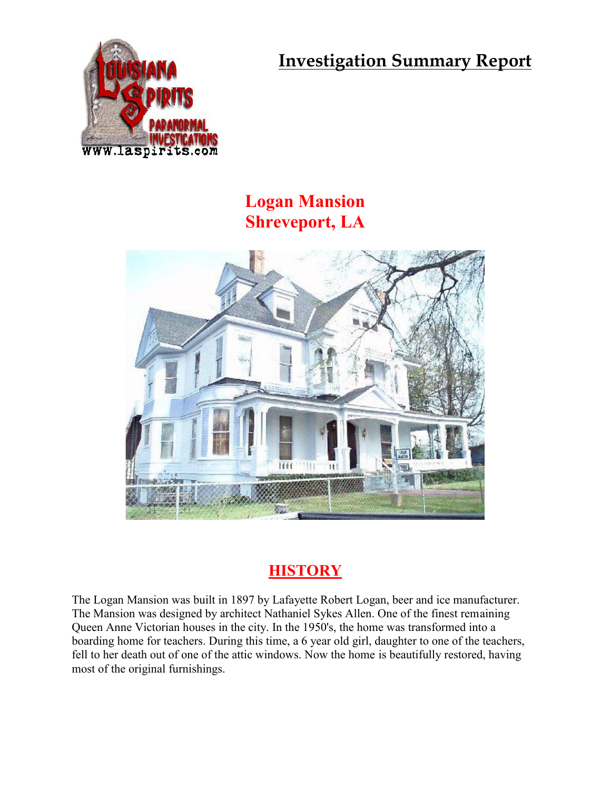**Investigation Summary Report**



## **Logan Mansion Shreveport, LA**



## **HISTORY**

The Logan Mansion was built in 1897 by Lafayette Robert Logan, beer and ice manufacturer. The Mansion was designed by architect Nathaniel Sykes Allen. One of the finest remaining Queen Anne Victorian houses in the city. In the 1950's, the home was transformed into a boarding home for teachers. During this time, a 6 year old girl, daughter to one of the teachers, fell to her death out of one of the attic windows. Now the home is beautifully restored, having most of the original furnishings.